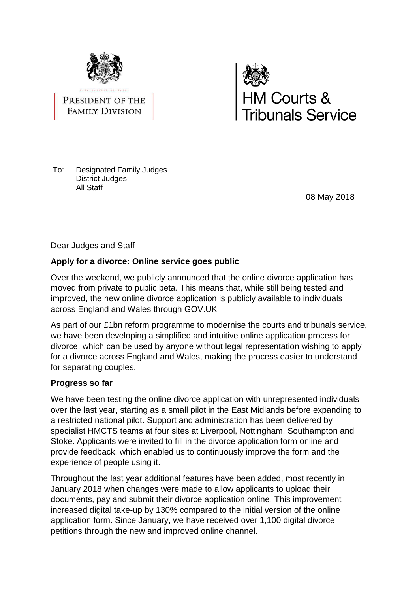

PRESIDENT OF THE **FAMILY DIVISION** 



To: Designated Family Judges District Judges All Staff

08 May 2018

Dear Judges and Staff

# **Apply for a divorce: Online service goes public**

Over the weekend, we publicly announced that the online divorce application has moved from private to public beta. This means that, while still being tested and improved, the new online divorce application is publicly available to individuals across England and Wales through GOV.UK

As part of our £1bn reform programme to modernise the courts and tribunals service, we have been developing a simplified and intuitive online application process for divorce, which can be used by anyone without legal representation wishing to apply for a divorce across England and Wales, making the process easier to understand for separating couples.

# **Progress so far**

We have been testing the online divorce application with unrepresented individuals over the last year, starting as a small pilot in the East Midlands before expanding to a restricted national pilot. Support and administration has been delivered by specialist HMCTS teams at four sites at Liverpool, Nottingham, Southampton and Stoke. Applicants were invited to fill in the divorce application form online and provide feedback, which enabled us to continuously improve the form and the experience of people using it.

Throughout the last year additional features have been added, most recently in January 2018 when changes were made to allow applicants to upload their documents, pay and submit their divorce application online. This improvement increased digital take-up by 130% compared to the initial version of the online application form. Since January, we have received over 1,100 digital divorce petitions through the new and improved online channel.